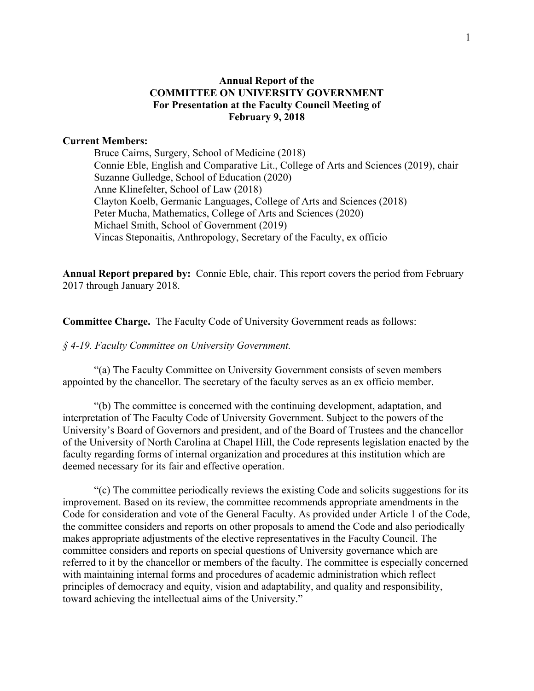# **Annual Report of the COMMITTEE ON UNIVERSITY GOVERNMENT For Presentation at the Faculty Council Meeting of February 9, 2018**

# **Current Members:**

Bruce Cairns, Surgery, School of Medicine (2018) Connie Eble, English and Comparative Lit., College of Arts and Sciences (2019), chair Suzanne Gulledge, School of Education (2020) Anne Klinefelter, School of Law (2018) Clayton Koelb, Germanic Languages, College of Arts and Sciences (2018) Peter Mucha, Mathematics, College of Arts and Sciences (2020) Michael Smith, School of Government (2019) Vincas Steponaitis, Anthropology, Secretary of the Faculty, ex officio

**Annual Report prepared by:** Connie Eble, chair. This report covers the period from February 2017 through January 2018.

**Committee Charge.** The Faculty Code of University Government reads as follows:

#### *§ 4-19. Faculty Committee on University Government.*

"(a) The Faculty Committee on University Government consists of seven members appointed by the chancellor. The secretary of the faculty serves as an ex officio member.

"(b) The committee is concerned with the continuing development, adaptation, and interpretation of The Faculty Code of University Government. Subject to the powers of the University's Board of Governors and president, and of the Board of Trustees and the chancellor of the University of North Carolina at Chapel Hill, the Code represents legislation enacted by the faculty regarding forms of internal organization and procedures at this institution which are deemed necessary for its fair and effective operation.

"(c) The committee periodically reviews the existing Code and solicits suggestions for its improvement. Based on its review, the committee recommends appropriate amendments in the Code for consideration and vote of the General Faculty. As provided under Article 1 of the Code, the committee considers and reports on other proposals to amend the Code and also periodically makes appropriate adjustments of the elective representatives in the Faculty Council. The committee considers and reports on special questions of University governance which are referred to it by the chancellor or members of the faculty. The committee is especially concerned with maintaining internal forms and procedures of academic administration which reflect principles of democracy and equity, vision and adaptability, and quality and responsibility, toward achieving the intellectual aims of the University."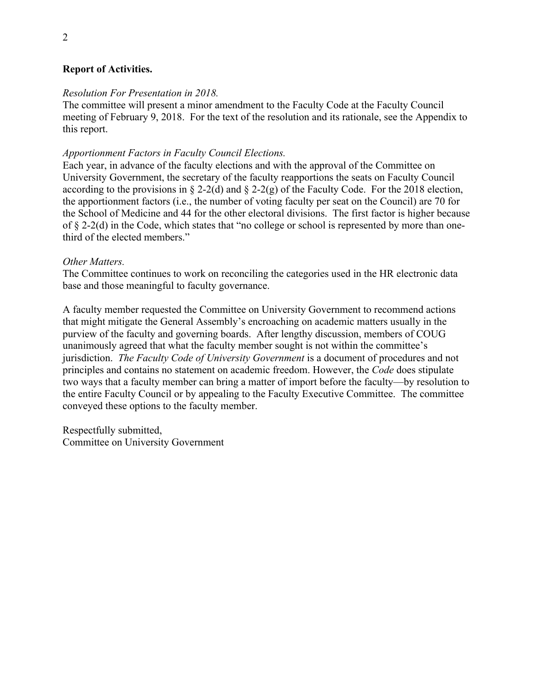# **Report of Activities.**

# *Resolution For Presentation in 2018.*

The committee will present a minor amendment to the Faculty Code at the Faculty Council meeting of February 9, 2018. For the text of the resolution and its rationale, see the Appendix to this report.

# *Apportionment Factors in Faculty Council Elections.*

Each year, in advance of the faculty elections and with the approval of the Committee on University Government, the secretary of the faculty reapportions the seats on Faculty Council according to the provisions in § 2-2(d) and § 2-2(g) of the Faculty Code. For the 2018 election, the apportionment factors (i.e., the number of voting faculty per seat on the Council) are 70 for the School of Medicine and 44 for the other electoral divisions. The first factor is higher because of § 2-2(d) in the Code, which states that "no college or school is represented by more than onethird of the elected members."

# *Other Matters.*

The Committee continues to work on reconciling the categories used in the HR electronic data base and those meaningful to faculty governance.

A faculty member requested the Committee on University Government to recommend actions that might mitigate the General Assembly's encroaching on academic matters usually in the purview of the faculty and governing boards. After lengthy discussion, members of COUG unanimously agreed that what the faculty member sought is not within the committee's jurisdiction. *The Faculty Code of University Government* is a document of procedures and not principles and contains no statement on academic freedom. However, the *Code* does stipulate two ways that a faculty member can bring a matter of import before the faculty—by resolution to the entire Faculty Council or by appealing to the Faculty Executive Committee. The committee conveyed these options to the faculty member.

Respectfully submitted, Committee on University Government